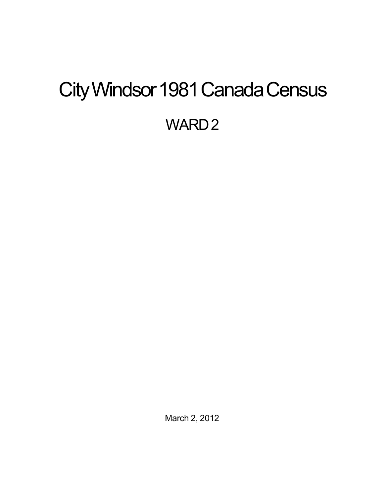# <span id="page-0-0"></span>City Windsor 1981 Canada Census WARD<sub>2</sub>

March 2, 2012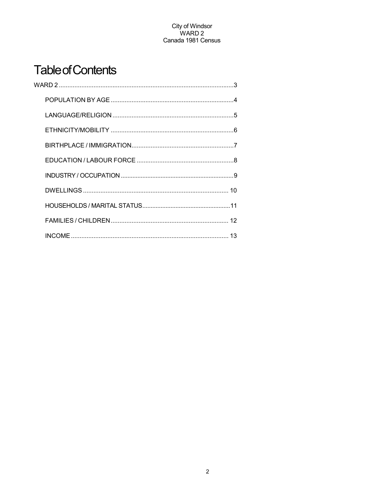## **Table of Contents**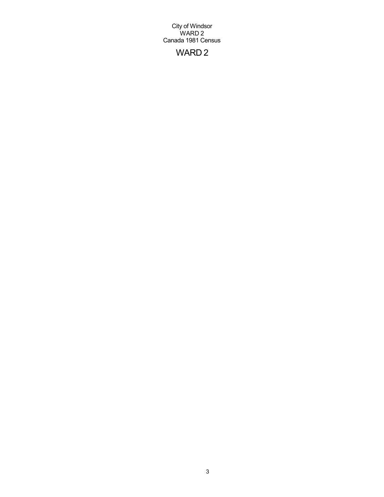## WARD 2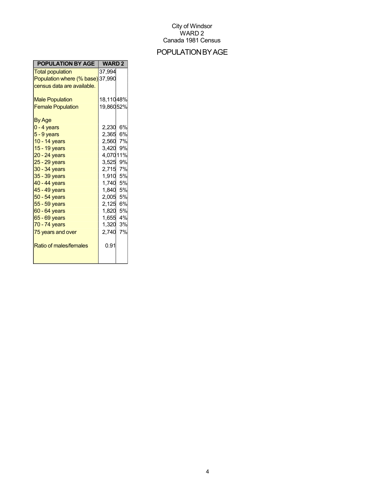## POPULATIONBYAGE

| <b>POPULATION BY AGE</b>         | <b>WARD 2</b> |
|----------------------------------|---------------|
| <b>Total population</b>          | 37,994        |
| Population where (% base) 37,990 |               |
| census data are available.       |               |
|                                  |               |
| <b>Male Population</b>           | 18,11048%     |
| <b>Female Population</b>         | 19,86052%     |
| By Age                           |               |
| $0 - 4$ years                    | 6%<br>2,230   |
| $5 - 9$ years                    | 2,365 6%      |
| 10 - 14 years                    | 2,560 7%      |
| 15 - 19 years                    | 3,420 9%      |
| 20 - 24 years                    | 4,07011%      |
| $25 - 29$ years                  | 3,525<br>9%   |
| 30 - 34 years                    | 2,715 7%      |
| 35 - 39 years                    | 1,910 5%      |
| 40 - 44 years                    | 1,740 5%      |
| 45 - 49 years                    | 1,840 5%      |
| 50 - 54 years                    | 2,005 5%      |
| 55 - 59 years                    | 2,125 6%      |
| 60 - 64 years                    | 1,820 5%      |
| 65 - 69 years                    | 1,655 4%      |
| 70 - 74 years                    | 1,320 3%      |
| 75 years and over                | 7%<br>2,740   |
| Ratio of males/females           | 0.91          |
|                                  |               |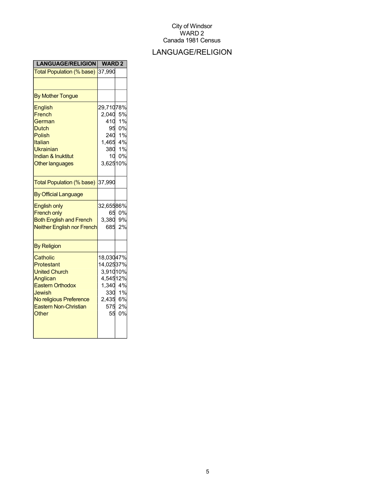## LANGUAGE/RELIGION

| <b>LANGUAGE/RELIGION</b>                                                                                                                                            | <b>WARD2</b>                                                                      |                       |
|---------------------------------------------------------------------------------------------------------------------------------------------------------------------|-----------------------------------------------------------------------------------|-----------------------|
| Total Population (% base)                                                                                                                                           | 37,990                                                                            |                       |
|                                                                                                                                                                     |                                                                                   |                       |
| <b>By Mother Tongue</b>                                                                                                                                             |                                                                                   |                       |
| English<br>French<br>German<br><b>Dutch</b><br><b>Polish</b><br>Italian<br><b>Ukrainian</b><br><b>Indian &amp; Inuktitut</b><br><b>Other languages</b>              | 29,71078%<br>2,040<br>410<br>95<br>240 1%<br>1,465 4%<br>380 1%<br>10<br>3,62510% | 5%<br>1%<br>0%<br>0%  |
| Total Population (% base)                                                                                                                                           | 37,990                                                                            |                       |
| <b>By Official Language</b>                                                                                                                                         |                                                                                   |                       |
| <b>English only</b><br><b>French only</b><br><b>Both English and French</b><br><b>Neither English nor French</b>                                                    | 32,65586%<br>65<br>3,380<br>685                                                   | 0%<br>9%<br>2%        |
| <b>By Religion</b>                                                                                                                                                  |                                                                                   |                       |
| Catholic<br>Protestant<br><b>United Church</b><br>Anglican<br><b>Eastern Orthodox</b><br>Jewish<br>No religious Preference<br><b>Eastern Non-Christian</b><br>Other | 18,03047%<br>14,02537%<br>3,91010%<br>4,54512%<br>1,340 4%<br>2,435 6%<br>575     | 330 1%<br>2%<br>55 0% |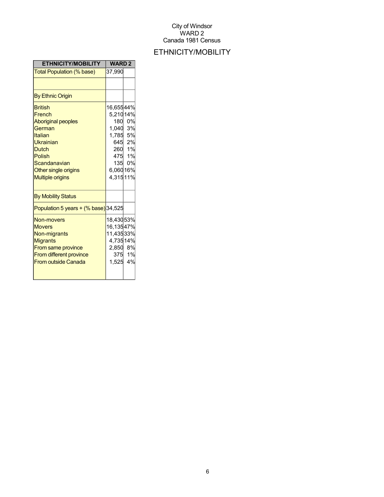## ETHNICITY/MOBILITY

| <b>ETHNICITY/MOBILITY</b>                                                                                                                                                            | <b>WARD2</b>                                                                        |                                        |
|--------------------------------------------------------------------------------------------------------------------------------------------------------------------------------------|-------------------------------------------------------------------------------------|----------------------------------------|
| <b>Total Population (% base)</b>                                                                                                                                                     | 37,990                                                                              |                                        |
|                                                                                                                                                                                      |                                                                                     |                                        |
| <b>By Ethnic Origin</b>                                                                                                                                                              |                                                                                     |                                        |
| <b>British</b><br>French<br><b>Aboriginal peoples</b><br>German<br>Italian<br>Ukrainian<br><b>Dutch</b><br>Polish<br>Scandanavian<br>Other single origins<br><b>Multiple origins</b> | 16,65544%<br>5,21014%<br>180<br>1,040 3%<br>1,785 5%<br>135<br>6,06016%<br>4,31511% | 0%<br>645 2%<br>260 1%<br>475 1%<br>0% |
| <b>By Mobility Status</b>                                                                                                                                                            |                                                                                     |                                        |
| Population 5 years $+($ % base) 34,525                                                                                                                                               |                                                                                     |                                        |
| <b>Non-movers</b><br><b>Movers</b><br>Non-migrants<br><b>Migrants</b><br>From same province<br><b>From different province</b><br><b>From outside Canada</b>                          | 18,43053%<br>16,13547%<br>11,43533%<br>4,73514%<br>2,850 8%<br>1,525 4%             | 375 1%                                 |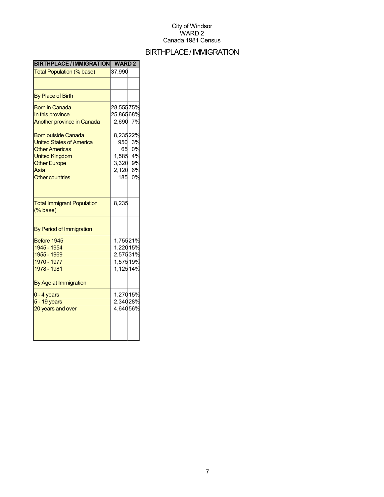## BIRTHPLACE/IMMIGRATION

| <b>BIRTHPLACE / IMMIGRATION</b>                                                                                                                                                                                                                            | <b>WARD2</b>                                                                               |                                        |
|------------------------------------------------------------------------------------------------------------------------------------------------------------------------------------------------------------------------------------------------------------|--------------------------------------------------------------------------------------------|----------------------------------------|
| Total Population (% base)                                                                                                                                                                                                                                  | 37,990                                                                                     |                                        |
|                                                                                                                                                                                                                                                            |                                                                                            |                                        |
| <b>By Place of Birth</b>                                                                                                                                                                                                                                   |                                                                                            |                                        |
| <b>Born in Canada</b><br>In this province<br><b>Another province in Canada</b><br><b>Born outside Canada</b><br><b>United States of America</b><br><b>Other Americas</b><br><b>United Kingdom</b><br><b>Other Europe</b><br>Asia<br><b>Other countries</b> | 28,55575%<br>25,86568%<br>2,690<br>8,23522%<br>950<br>65<br>1,585<br>3,320<br>2,120<br>185 | 7%<br>3%<br>0%<br>4%<br>9%<br>6%<br>0% |
| <b>Total Immigrant Population</b><br>$(% \mathcal{L}^{\prime }\mathcal{L}^{\prime })$ (% base)                                                                                                                                                             | 8,235                                                                                      |                                        |
| By Period of Immigration                                                                                                                                                                                                                                   |                                                                                            |                                        |
| Before 1945<br>1945 - 1954<br>1955 - 1969<br>1970 - 1977<br>1978 - 1981<br>By Age at Immigration                                                                                                                                                           | 1,75521%<br>1,220 15%<br>2,575 31%<br>1,57519%<br>1,12514%                                 |                                        |
| $0 - 4$ years<br>5 - 19 years<br>20 years and over                                                                                                                                                                                                         | 1,27015%<br>2,34028%<br>4,64056%                                                           |                                        |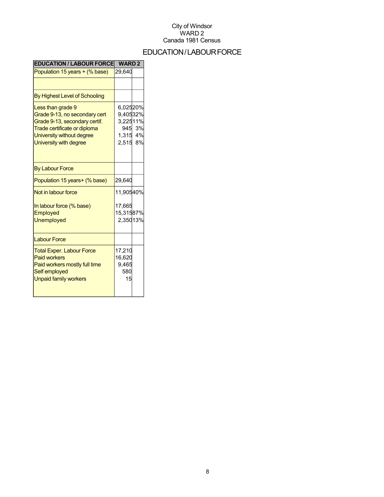## EDUCATION/LABOURFORCE

| <b>EDUCATION / LABOUR FORCE</b>                                                                                                                                            | <b>WARD2</b>                                                 |          |
|----------------------------------------------------------------------------------------------------------------------------------------------------------------------------|--------------------------------------------------------------|----------|
| Population 15 years + (% base)                                                                                                                                             | 29,640                                                       |          |
|                                                                                                                                                                            |                                                              |          |
| By Highest Level of Schooling                                                                                                                                              |                                                              |          |
| Less than grade 9<br>Grade 9-13, no secondary cert<br>Grade 9-13, secondary certif.<br>Trade certificate or diploma<br>University without degree<br>University with degree | 6,02520%<br>9,40532%<br>3,22511%<br>945<br>1,315 4%<br>2,515 | 3%<br>8% |
| <b>By Labour Force</b>                                                                                                                                                     |                                                              |          |
| Population 15 years+ (% base)                                                                                                                                              | 29,640                                                       |          |
| Not in labour force                                                                                                                                                        | 11,90540%                                                    |          |
| In labour force (% base)<br>Employed<br><b>Unemployed</b>                                                                                                                  | 17,665<br>15,31587%<br>2,35013%                              |          |
| <b>Labour Force</b>                                                                                                                                                        |                                                              |          |
| <b>Total Exper. Labour Force</b><br><b>Paid workers</b><br>Paid workers mostly full time<br>Self employed<br><b>Unpaid family workers</b>                                  | 17,210<br>16,620<br>9,465<br>580<br>15                       |          |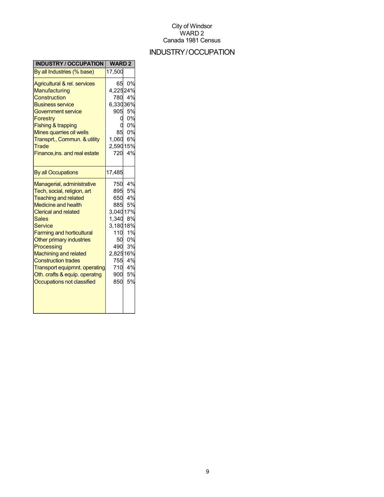## INDUSTRY/OCCUPATION

| <b>INDUSTRY / OCCUPATION</b>     | <b>WARD2</b> |    |
|----------------------------------|--------------|----|
| By all Industries (% base)       | 17,500       |    |
| Agricultural & rel. services     | 65           | 0% |
| Manufacturing                    | 4,22524%     |    |
| Construction                     | 780          | 4% |
| <b>Business service</b>          | 6,33036%     |    |
| <b>Government service</b>        | 905          | 5% |
| <b>Forestry</b>                  | 0            | 0% |
| <b>Fishing &amp; trapping</b>    |              | 0% |
| Mines quarries oil wells         | 85           | 0% |
| Transprt., Commun. & utility     | 1,060        | 6% |
| Trade                            | 2,59015%     |    |
| Finance, ins. and real estate    | 720          | 4% |
|                                  |              |    |
| <b>By all Occupations</b>        | 17,485       |    |
| Managerial, administrative       | 750          | 4% |
| Tech, social, religion, art      | 895          | 5% |
| <b>Teaching and related</b>      | 650          | 4% |
| <b>Medicine and health</b>       | 885          | 5% |
| <b>Clerical and related</b>      | 3,04017%     |    |
| <b>Sales</b>                     | 1,340        | 8% |
| <b>Service</b>                   | 3,18018%     |    |
| <b>Farming and horticultural</b> | 110          | 1% |
| Other primary industries         | 50           | 0% |
| Processing                       | 490          | 3% |
| <b>Machining and related</b>     | 2,82516%     |    |
| <b>Construction trades</b>       | 755          | 4% |
| Transport equipmnt. operating    | 710          | 4% |
| Oth. crafts & equip. operatng    | 900          | 5% |
| Occupations not classified       | 850          | 5% |
|                                  |              |    |
|                                  |              |    |
|                                  |              |    |
|                                  |              |    |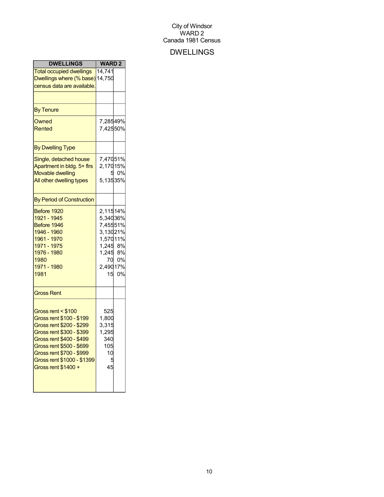## DWELLINGS

| <b>DWELLINGS</b>                                                                                                                                                                                                                                | <b>WARD2</b>                                                                                         |             |
|-------------------------------------------------------------------------------------------------------------------------------------------------------------------------------------------------------------------------------------------------|------------------------------------------------------------------------------------------------------|-------------|
| <b>Total occupied dwellings</b><br>Dwellings where (% base) 14,750<br>census data are available.                                                                                                                                                | 14,741                                                                                               |             |
|                                                                                                                                                                                                                                                 |                                                                                                      |             |
| <b>By Tenure</b>                                                                                                                                                                                                                                |                                                                                                      |             |
| Owned<br>Rented                                                                                                                                                                                                                                 | 7,28549%<br>7,42550%                                                                                 |             |
| <b>By Dwelling Type</b>                                                                                                                                                                                                                         |                                                                                                      |             |
| Single, detached house<br>Apartment in bldg. 5+ firs<br><b>Movable dwelling</b><br>All other dwelling types                                                                                                                                     | 7,47051%<br>2,17015%<br>5<br>5,13535%                                                                | 0%          |
| <b>By Period of Construction</b>                                                                                                                                                                                                                |                                                                                                      |             |
| Before 1920<br>1921 - 1945<br>Before 1946<br>1946 - 1960<br>1961 - 1970<br>1971 - 1975<br>1976 - 1980<br>1980<br>1971 - 1980<br>1981                                                                                                            | 2,11514%<br>5,34036%<br>7,45551%<br>3,13021%<br>1,57011%<br>1,245 8%<br>$1,245$ 8%<br>70<br>2,49017% | 0%<br>15 0% |
| <b>Gross Rent</b>                                                                                                                                                                                                                               |                                                                                                      |             |
| Gross rent < \$100<br>Gross rent \$100 - \$199<br>Gross rent \$200 - \$299<br>Gross rent \$300 - \$399<br>Gross rent \$400 - \$499<br>Gross rent \$500 - \$699<br>Gross rent \$700 - \$999<br>Gross rent \$1000 - \$1399<br>Gross rent \$1400 + | 525<br>1,800<br>3,315<br>1,295<br>340<br>105<br>10<br>45                                             |             |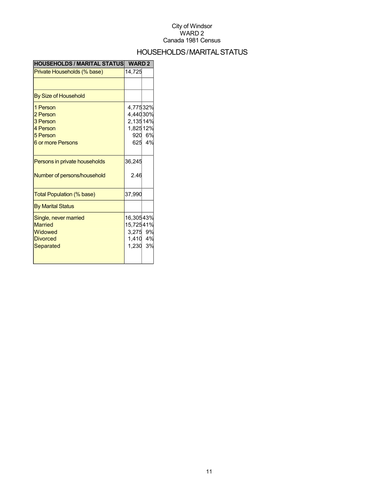## HOUSEHOLDS/MARITALSTATUS

| <b>HOUSEHOLDS / MARITAL STATUS</b>                                                   | <b>WARD 2</b>                                           |              |
|--------------------------------------------------------------------------------------|---------------------------------------------------------|--------------|
| Private Households (% base)                                                          | 14,725                                                  |              |
|                                                                                      |                                                         |              |
| By Size of Household                                                                 |                                                         |              |
| 1 Person<br>2 Person<br>3 Person<br>4 Person<br>5 Person<br><b>6 or more Persons</b> | 4,77532%<br>4,44030%<br>2,13514%<br>1,82512%<br>920     | 6%<br>625 4% |
| Persons in private households<br>Number of persons/household                         | 36,245<br>2.46                                          |              |
| Total Population (% base)                                                            | 37,990                                                  |              |
| <b>By Marital Status</b>                                                             |                                                         |              |
| Single, never married<br><b>Married</b><br>Widowed<br><b>Divorced</b><br>Separated   | 16,30543%<br>15,72541%<br>3,275 9%<br>1,410 4%<br>1,230 | 3%           |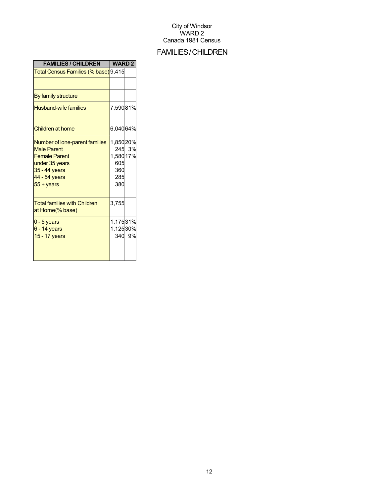## FAMILIES/CHILDREN

| <b>FAMILIES / CHILDREN</b>                                                                                                                                | <b>WARD 2</b>                                     |        |
|-----------------------------------------------------------------------------------------------------------------------------------------------------------|---------------------------------------------------|--------|
| Total Census Families (% base) 9,415                                                                                                                      |                                                   |        |
|                                                                                                                                                           |                                                   |        |
| By family structure                                                                                                                                       |                                                   |        |
| <b>Husband-wife families</b>                                                                                                                              | 7,59081%                                          |        |
| Children at home                                                                                                                                          | 6,04064%                                          |        |
| Number of lone-parent families<br><b>Male Parent</b><br><b>Female Parent</b><br>under 35 years<br>35 - 44 years<br>44 - 54 years<br>$55 + \mathrm{years}$ | 1,85020%<br>1,580 17%<br>605<br>360<br>285<br>380 | 245 3% |
| <b>Total families with Children</b><br>at Home(% base)                                                                                                    | 3,755                                             |        |
| $0 - 5$ years<br>$6 - 14$ years<br>15 - 17 years                                                                                                          | 1,17531%<br>1,12530%                              | 340 9% |